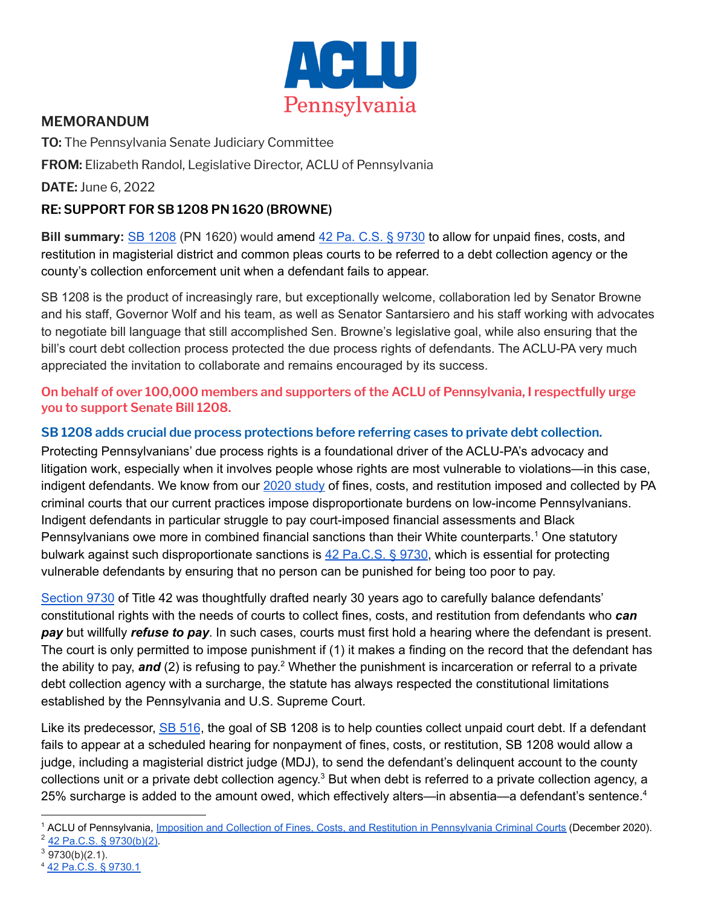

# **MEMORANDUM**

**TO:** The Pennsylvania Senate Judiciary Committee **FROM:** Elizabeth Randol, Legislative Director, ACLU of Pennsylvania

**DATE:** June 6, 2022

# **RE: SUPPORT FOR SB 1208 PN 1620 (BROWNE)**

**Bill summary:** SB [1208](https://www.legis.state.pa.us/cfdocs/billInfo/billInfo.cfm?sYear=2021&sInd=0&body=S&type=B&bn=1208) (PN 1620) would amend 42 Pa. C.S. § [9730](https://www.legis.state.pa.us/cfdocs/legis/LI/consCheck.cfm?txtType=HTM&ttl=42&div=0&chpt=97&sctn=30&subsctn=0) to allow for unpaid fines, costs, and restitution in magisterial district and common pleas courts to be referred to a debt collection agency or the county's collection enforcement unit when a defendant fails to appear.

SB 1208 is the product of increasingly rare, but exceptionally welcome, collaboration led by Senator Browne and his staff, Governor Wolf and his team, as well as Senator Santarsiero and his staff working with advocates to negotiate bill language that still accomplished Sen. Browne's legislative goal, while also ensuring that the bill's court debt collection process protected the due process rights of defendants. The ACLU-PA very much appreciated the invitation to collaborate and remains encouraged by its success.

### **On behalf of over 100,000 members and supporters of the ACLU of Pennsylvania, I respectfully urge you to support Senate Bill 1208.**

### **SB 1208 adds crucial due process protections before referring cases to private debt collection.**

Protecting Pennsylvanians' due process rights is a foundational driver of the ACLU-PA's advocacy and litigation work, especially when it involves people whose rights are most vulnerable to violations—in this case, indigent defendants. We know from our 2020 [study](https://aclupa.org/en/publications/imposition-and-collection-fines-costs-and-restitution-pennsylvania-criminal-courts) of fines, costs, and restitution imposed and collected by PA criminal courts that our current practices impose disproportionate burdens on low-income Pennsylvanians. Indigent defendants in particular struggle to pay court-imposed financial assessments and Black Pennsylvanians owe more in combined financial sanctions than their White counterparts.<sup>1</sup> One statutory bulwark against such disproportionate sanctions is 42 [Pa.C.S.](https://www.legis.state.pa.us/cfdocs/legis/LI/consCheck.cfm?txtType=HTM&ttl=42&div=0&chpt=97&sctn=30&subsctn=0) § 9730, which is essential for protecting vulnerable defendants by ensuring that no person can be punished for being too poor to pay.

[Section](https://www.legis.state.pa.us/WU01/LI/LI/CT/HTM/42/00.097.030.000..HTM) 9730 of Title 42 was thoughtfully drafted nearly 30 years ago to carefully balance defendants' constitutional rights with the needs of courts to collect fines, costs, and restitution from defendants who *can pay* but willfully *refuse to pay*. In such cases, courts must first hold a hearing where the defendant is present. The court is only permitted to impose punishment if (1) it makes a finding on the record that the defendant has the ability to pay, and (2) is refusing to pay.<sup>2</sup> Whether the punishment is incarceration or referral to a private debt collection agency with a surcharge, the statute has always respected the constitutional limitations established by the Pennsylvania and U.S. Supreme Court.

Like its predecessor, SB [516](https://www.legis.state.pa.us/cfdocs/billInfo/billInfo.cfm?sYear=2021&sInd=0&body=S&type=B&bn=0516), the goal of SB 1208 is to help counties collect unpaid court debt. If a defendant fails to appear at a scheduled hearing for nonpayment of fines, costs, or restitution, SB 1208 would allow a judge, including a magisterial district judge (MDJ), to send the defendant's delinquent account to the county collections unit or a private debt collection agency.<sup>3</sup> But when debt is referred to a private collection agency, a 25% surcharge is added to the amount owed, which effectively alters—in absentia—a defendant's sentence.<sup>4</sup>

<sup>2</sup> [42 Pa.C.S. § 9730\(b\)\(2\).](https://www.legis.state.pa.us/cfdocs/legis/LI/consCheck.cfm?txtType=HTM&ttl=42&div=0&chpt=97&sctn=30&subsctn=0) <sup>1</sup> ACLU of Pennsylvania, Imposition and Collection of [Fines, Costs, and Restitution in Pennsylvania Criminal Courts](https://aclupa.org/en/publications/imposition-and-collection-fines-costs-and-restitution-pennsylvania-criminal-courts) (December 2020).

 $3$  9730(b)(2.1).

<sup>4</sup> [42 Pa.C.S. § 9730.1](https://www.legis.state.pa.us/cfdocs/legis/LI/consCheck.cfm?txtType=HTM&ttl=42&div=0&chpt=97&sctn=30&subsctn=1)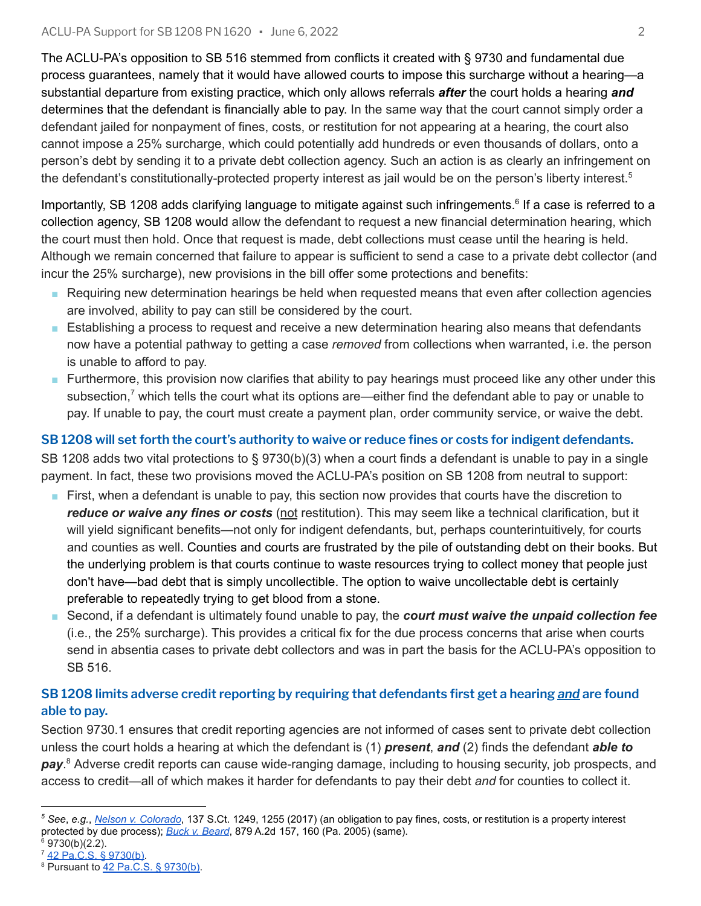The ACLU-PA's opposition to SB 516 stemmed from conflicts it created with § 9730 and fundamental due process guarantees, namely that it would have allowed courts to impose this surcharge without a hearing—a substantial departure from existing practice, which only allows referrals *after* the court holds a hearing *and* determines that the defendant is financially able to pay. In the same way that the court cannot simply order a defendant jailed for nonpayment of fines, costs, or restitution for not appearing at a hearing, the court also cannot impose a 25% surcharge, which could potentially add hundreds or even thousands of dollars, onto a person's debt by sending it to a private debt collection agency. Such an action is as clearly an infringement on the defendant's constitutionally-protected property interest as jail would be on the person's liberty interest.<sup>5</sup>

Importantly, SB 1208 adds clarifying language to mitigate against such infringements.<sup>6</sup> If a case is referred to a collection agency, SB 1208 would allow the defendant to request a new financial determination hearing, which the court must then hold. Once that request is made, debt collections must cease until the hearing is held. Although we remain concerned that failure to appear is sufficient to send a case to a private debt collector (and incur the 25% surcharge), new provisions in the bill offer some protections and benefits:

- Requiring new determination hearings be held when requested means that even after collection agencies are involved, ability to pay can still be considered by the court.
- Establishing a process to request and receive a new determination hearing also means that defendants now have a potential pathway to getting a case *removed* from collections when warranted, i.e. the person is unable to afford to pay.
- Furthermore, this provision now clarifies that ability to pay hearings must proceed like any other under this subsection,<sup>7</sup> which tells the court what its options are—either find the defendant able to pay or unable to pay. If unable to pay, the court must create a payment plan, order community service, or waive the debt.

# SB 1208 will set forth the court's authority to waive or reduce fines or costs for indigent defendants.

SB 1208 adds two vital protections to § 9730(b)(3) when a court finds a defendant is unable to pay in a single payment. In fact, these two provisions moved the ACLU-PA's position on SB 1208 from neutral to support:

- First, when a defendant is unable to pay, this section now provides that courts have the discretion to *reduce or waive any fines or costs* (not restitution). This may seem like a technical clarification, but it will yield significant benefits—not only for indigent defendants, but, perhaps counterintuitively, for courts and counties as well. Counties and courts are frustrated by the pile of outstanding debt on their books. But the underlying problem is that courts continue to waste resources trying to collect money that people just don't have—bad debt that is simply uncollectible. The option to waive uncollectable debt is certainly preferable to repeatedly trying to get blood from a stone.
- Second, if a defendant is ultimately found unable to pay, the *court must waive the unpaid collection fee* (i.e., the 25% surcharge). This provides a critical fix for the due process concerns that arise when courts send in absentia cases to private debt collectors and was in part the basis for the ACLU-PA's opposition to SB 516.

## **SB 1208 limits adverse credit reporting by requiring that defendants first get a hearing** *and* **are found able to pay.**

Section 9730.1 ensures that credit reporting agencies are not informed of cases sent to private debt collection unless the court holds a hearing at which the defendant is (1) *present*, *and* (2) finds the defendant *able to* pay.<sup>8</sup> Adverse credit reports can cause wide-ranging damage, including to housing security, job prospects, and access to credit—all of which makes it harder for defendants to pay their debt *and* for counties to collect it.

- $6$  9730(b)(2.2).
- <sup>7</sup> [42 Pa.C.S. § 9730\(b\)](https://www.legis.state.pa.us/cfdocs/legis/LI/consCheck.cfm?txtType=HTM&ttl=42&div=0&chpt=97&sctn=30&subsctn=0).

*<sup>5</sup> See*, *e.g.*, *[Nelson v. Colorado](https://www.oyez.org/cases/2016/15-1256)*, 137 S.Ct. 1249, 1255 (2017) (an obligation to pay fines, costs, or restitution is a property interest protected by due process); *[Buck v. Beard](https://www.courtlistener.com/opinion/2403687/buck-v-beard/)*, 879 A.2d 157, 160 (Pa. 2005) (same).

<sup>8</sup> Pursuant to [42 Pa.C.S. § 9730\(b\).](https://www.legis.state.pa.us/cfdocs/legis/LI/consCheck.cfm?txtType=HTM&ttl=42&div=0&chpt=97&sctn=30&subsctn=0)